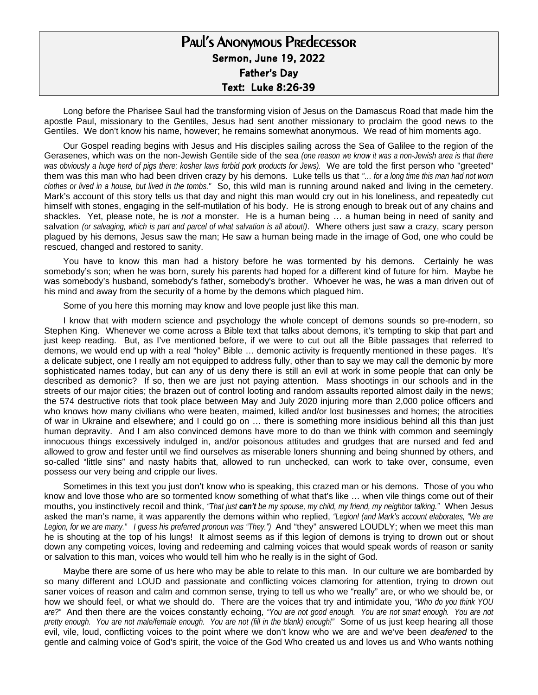## Paul's Anonymous Predecessor **Sermon, June 19, 2022 Father's Day Text: Luke 8:26-39**

Long before the Pharisee Saul had the transforming vision of Jesus on the Damascus Road that made him the apostle Paul, missionary to the Gentiles, Jesus had sent another missionary to proclaim the good news to the Gentiles. We don't know his name, however; he remains somewhat anonymous. We read of him moments ago.

Our Gospel reading begins with Jesus and His disciples sailing across the Sea of Galilee to the region of the Gerasenes, which was on the non-Jewish Gentile side of the sea *(one reason we know it was a non-Jewish area is that there*  was obviously a huge herd of pigs there; kosher laws forbid pork products for Jews). We are told the first person who "greeted" them was this man who had been driven crazy by his demons. Luke tells us that *"… for a long time this man had not worn clothes or lived in a house, but lived in the tombs."* So, this wild man is running around naked and living in the cemetery. Mark's account of this story tells us that day and night this man would cry out in his loneliness, and repeatedly cut himself with stones, engaging in the self-mutilation of his body. He is strong enough to break out of any chains and shackles. Yet, please note, he is *not* a monster. He is a human being … a human being in need of sanity and salvation *(or salvaging, which is part and parcel of what salvation is all about!)*. Where others just saw a crazy, scary person plagued by his demons, Jesus saw the man; He saw a human being made in the image of God, one who could be rescued, changed and restored to sanity.

You have to know this man had a history before he was tormented by his demons. Certainly he was somebody's son; when he was born, surely his parents had hoped for a different kind of future for him. Maybe he was somebody's husband, somebody's father, somebody's brother. Whoever he was, he was a man driven out of his mind and away from the security of a home by the demons which plagued him.

Some of you here this morning may know and love people just like this man.

I know that with modern science and psychology the whole concept of demons sounds so pre-modern, so Stephen King. Whenever we come across a Bible text that talks about demons, it's tempting to skip that part and just keep reading. But, as I've mentioned before, if we were to cut out all the Bible passages that referred to demons, we would end up with a real "holey" Bible … demonic activity is frequently mentioned in these pages. It's a delicate subject, one I really am not equipped to address fully, other than to say we may call the demonic by more sophisticated names today, but can any of us deny there is still an evil at work in some people that can only be described as demonic? If so, then we are just not paying attention. Mass shootings in our schools and in the streets of our major cities; the brazen out of control looting and random assaults reported almost daily in the news; the 574 destructive riots that took place between May and July 2020 injuring more than 2,000 police officers and who knows how many civilians who were beaten, maimed, killed and/or lost businesses and homes; the atrocities of war in Ukraine and elsewhere; and I could go on … there is something more insidious behind all this than just human depravity. And I am also convinced demons have more to do than we think with common and seemingly innocuous things excessively indulged in, and/or poisonous attitudes and grudges that are nursed and fed and allowed to grow and fester until we find ourselves as miserable loners shunning and being shunned by others, and so-called "little sins" and nasty habits that, allowed to run unchecked, can work to take over, consume, even possess our very being and cripple our lives.

Sometimes in this text you just don't know who is speaking, this crazed man or his demons. Those of you who know and love those who are so tormented know something of what that's like … when vile things come out of their mouths, you instinctively recoil and think, *"That just can't be my spouse, my child, my friend, my neighbor talking."* When Jesus asked the man's name, it was apparently the demons within who replied, *"Legion! (and Mark's account elaborates, "We are*  Legion, for we are many." I guess his preferred pronoun was "They.") And "they" answered LOUDLY; when we meet this man he is shouting at the top of his lungs! It almost seems as if this legion of demons is trying to drown out or shout down any competing voices, loving and redeeming and calming voices that would speak words of reason or sanity or salvation to this man, voices who would tell him who he really is in the sight of God.

Maybe there are some of us here who may be able to relate to this man. In our culture we are bombarded by so many different and LOUD and passionate and conflicting voices clamoring for attention, trying to drown out saner voices of reason and calm and common sense, trying to tell us who we "really" are, or who we should be, or how we should feel, or what we should do. There are the voices that try and intimidate you, *"Who do you think YOU are?"* And then there are the voices constantly echoing*, "You are not good enough. You are not smart enough. You are not pretty enough. You are not male/female enough. You are not (fill in the blank) enough!"* Some of us just keep hearing all those evil, vile, loud, conflicting voices to the point where we don't know who we are and we've been *deafened* to the gentle and calming voice of God's spirit, the voice of the God Who created us and loves us and Who wants nothing